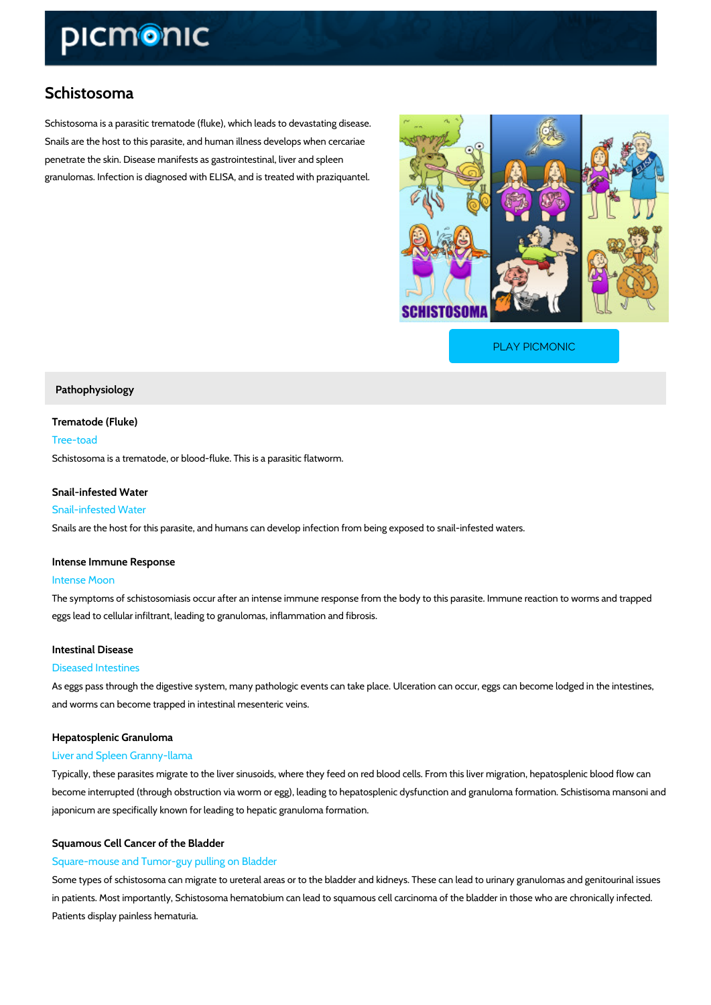# Schistosoma

Schistosoma is a parasitic trematode (fluke), which leads to devastating disease. Snails are the host to this parasite, and human illness develops when cercariae penetrate the skin. Disease manifests as gastrointestinal, liver and spleen granulomas. Infection is diagnosed with ELISA, and is treated with praziquantel.

[PLAY PICMONIC](https://www.picmonic.com/learn/schistosoma_1832?utm_source=downloadable_content&utm_medium=distributedcontent&utm_campaign=pathways_pdf&utm_content=Schistosoma&utm_ad_group=leads&utm_market=all)

# Pathophysiology

Trematode (Fluke) Tree-toad

Schistosoma is a trematode, or blood-fluke. This is a parasitic flatworm.

# Snail-infested Water

### Snail-infested Water

Snails are the host for this parasite, and humans can develop infection from being exposed to

### Intense Immune Response

### Intense Moon

The symptoms of schistosomiasis occur after an intense immune response from the body to thi eggs lead to cellular infiltrant, leading to granulomas, inflammation and fibrosis.

# Intestinal Disease

#### Diseased Intestines

As eggs pass through the digestive system, many pathologic events can take place. Ulceration and worms can become trapped in intestinal mesenteric veins.

# Hepatosplenic Granuloma

# Liver and Spleen Granny-llama

Typically, these parasites migrate to the liver sinusoids, where they feed on red blood cells. become interrupted (through obstruction via worm or egg), leading to hepatosplenic dysfunction japonicum are specifically known for leading to hepatic granuloma formation.

# Squamous Cell Cancer of the Bladder

# Square-mouse and Tumor-guy pulling on Bladder

Some types of schistosoma can migrate to ureteral areas or to the bladder and kidneys. These in patients. Most importantly, Schistosoma hematobium can lead to squamous cell carcinoma c Patients display painless hematuria.